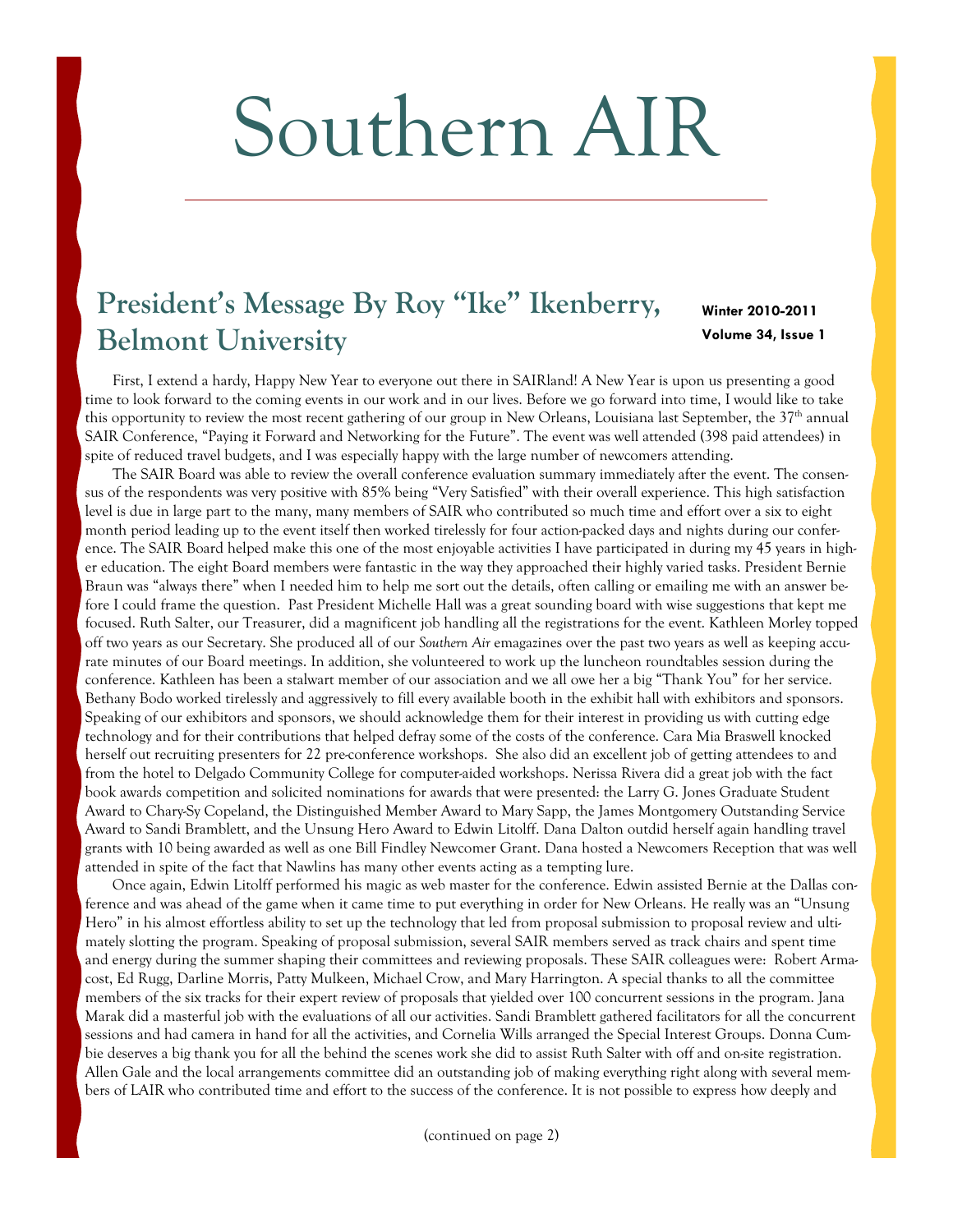# Southern AIR

# President's Message By Roy "Ike" Ikenberry, **Belmont University Volume 34, Issue 1**

# **Winter 2010-2011**

 First, I extend a hardy, Happy New Year to everyone out there in SAIRland! A New Year is upon us presenting a good time to look forward to the coming events in our work and in our lives. Before we go forward into time, I would like to take this opportunity to review the most recent gathering of our group in New Orleans, Louisiana last September, the 37<sup>th</sup> annual SAIR Conference, "Paying it Forward and Networking for the Future". The event was well attended (398 paid attendees) in spite of reduced travel budgets, and I was especially happy with the large number of newcomers attending.

 The SAIR Board was able to review the overall conference evaluation summary immediately after the event. The consensus of the respondents was very positive with 85% being "Very Satisfied" with their overall experience. This high satisfaction level is due in large part to the many, many members of SAIR who contributed so much time and effort over a six to eight month period leading up to the event itself then worked tirelessly for four action-packed days and nights during our conference. The SAIR Board helped make this one of the most enjoyable activities I have participated in during my 45 years in higher education. The eight Board members were fantastic in the way they approached their highly varied tasks. President Bernie Braun was "always there" when I needed him to help me sort out the details, often calling or emailing me with an answer before I could frame the question. Past President Michelle Hall was a great sounding board with wise suggestions that kept me focused. Ruth Salter, our Treasurer, did a magnificent job handling all the registrations for the event. Kathleen Morley topped off two years as our Secretary. She produced all of our *Southern Air* emagazines over the past two years as well as keeping accurate minutes of our Board meetings. In addition, she volunteered to work up the luncheon roundtables session during the conference. Kathleen has been a stalwart member of our association and we all owe her a big "Thank You" for her service. Bethany Bodo worked tirelessly and aggressively to fill every available booth in the exhibit hall with exhibitors and sponsors. Speaking of our exhibitors and sponsors, we should acknowledge them for their interest in providing us with cutting edge technology and for their contributions that helped defray some of the costs of the conference. Cara Mia Braswell knocked herself out recruiting presenters for 22 pre-conference workshops. She also did an excellent job of getting attendees to and from the hotel to Delgado Community College for computer-aided workshops. Nerissa Rivera did a great job with the fact book awards competition and solicited nominations for awards that were presented: the Larry G. Jones Graduate Student Award to Chary-Sy Copeland, the Distinguished Member Award to Mary Sapp, the James Montgomery Outstanding Service Award to Sandi Bramblett, and the Unsung Hero Award to Edwin Litolff. Dana Dalton outdid herself again handling travel grants with 10 being awarded as well as one Bill Findley Newcomer Grant. Dana hosted a Newcomers Reception that was well attended in spite of the fact that Nawlins has many other events acting as a tempting lure.

 Once again, Edwin Litolff performed his magic as web master for the conference. Edwin assisted Bernie at the Dallas conference and was ahead of the game when it came time to put everything in order for New Orleans. He really was an "Unsung Hero" in his almost effortless ability to set up the technology that led from proposal submission to proposal review and ultimately slotting the program. Speaking of proposal submission, several SAIR members served as track chairs and spent time and energy during the summer shaping their committees and reviewing proposals. These SAIR colleagues were: Robert Armacost, Ed Rugg, Darline Morris, Patty Mulkeen, Michael Crow, and Mary Harrington. A special thanks to all the committee members of the six tracks for their expert review of proposals that yielded over 100 concurrent sessions in the program. Jana Marak did a masterful job with the evaluations of all our activities. Sandi Bramblett gathered facilitators for all the concurrent sessions and had camera in hand for all the activities, and Cornelia Wills arranged the Special Interest Groups. Donna Cumbie deserves a big thank you for all the behind the scenes work she did to assist Ruth Salter with off and on-site registration. Allen Gale and the local arrangements committee did an outstanding job of making everything right along with several members of LAIR who contributed time and effort to the success of the conference. It is not possible to express how deeply and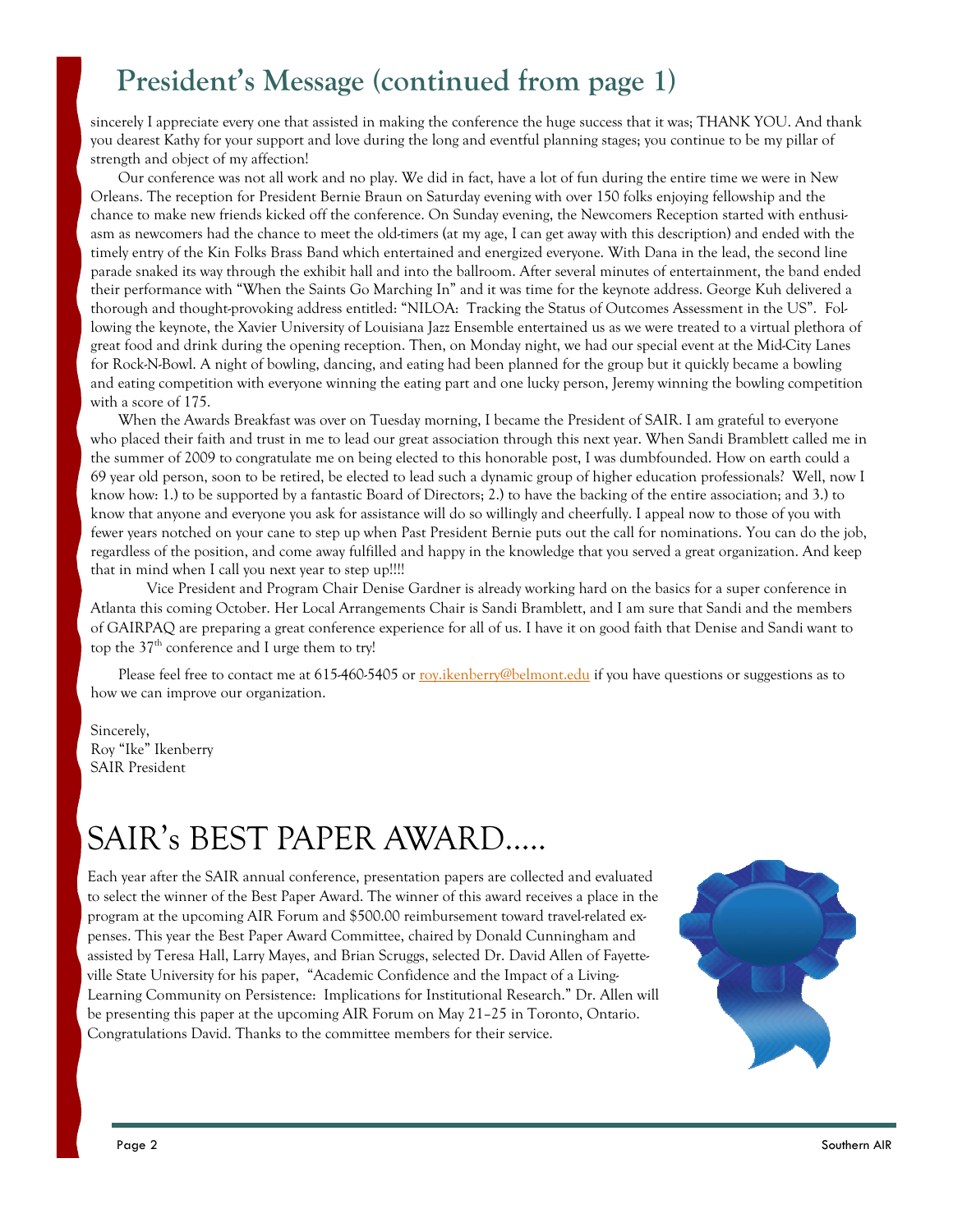# **President's Message (continued from page 1)**

sincerely I appreciate every one that assisted in making the conference the huge success that it was; THANK YOU. And thank you dearest Kathy for your support and love during the long and eventful planning stages; you continue to be my pillar of strength and object of my affection!

 Our conference was not all work and no play. We did in fact, have a lot of fun during the entire time we were in New Orleans. The reception for President Bernie Braun on Saturday evening with over 150 folks enjoying fellowship and the chance to make new friends kicked off the conference. On Sunday evening, the Newcomers Reception started with enthusiasm as newcomers had the chance to meet the old-timers (at my age, I can get away with this description) and ended with the timely entry of the Kin Folks Brass Band which entertained and energized everyone. With Dana in the lead, the second line parade snaked its way through the exhibit hall and into the ballroom. After several minutes of entertainment, the band ended their performance with "When the Saints Go Marching In" and it was time for the keynote address. George Kuh delivered a thorough and thought-provoking address entitled: "NILOA: Tracking the Status of Outcomes Assessment in the US". Following the keynote, the Xavier University of Louisiana Jazz Ensemble entertained us as we were treated to a virtual plethora of great food and drink during the opening reception. Then, on Monday night, we had our special event at the Mid-City Lanes for Rock-N-Bowl. A night of bowling, dancing, and eating had been planned for the group but it quickly became a bowling and eating competition with everyone winning the eating part and one lucky person, Jeremy winning the bowling competition with a score of 175.

 When the Awards Breakfast was over on Tuesday morning, I became the President of SAIR. I am grateful to everyone who placed their faith and trust in me to lead our great association through this next year. When Sandi Bramblett called me in the summer of 2009 to congratulate me on being elected to this honorable post, I was dumbfounded. How on earth could a 69 year old person, soon to be retired, be elected to lead such a dynamic group of higher education professionals? Well, now I know how: 1.) to be supported by a fantastic Board of Directors; 2.) to have the backing of the entire association; and 3.) to know that anyone and everyone you ask for assistance will do so willingly and cheerfully. I appeal now to those of you with fewer years notched on your cane to step up when Past President Bernie puts out the call for nominations. You can do the job, regardless of the position, and come away fulfilled and happy in the knowledge that you served a great organization. And keep that in mind when I call you next year to step up!!!!

 Vice President and Program Chair Denise Gardner is already working hard on the basics for a super conference in Atlanta this coming October. Her Local Arrangements Chair is Sandi Bramblett, and I am sure that Sandi and the members of GAIRPAQ are preparing a great conference experience for all of us. I have it on good faith that Denise and Sandi want to top the  $37<sup>th</sup>$  conference and I urge them to try!

Please feel free to contact me at 615-460-5405 or roy.ikenberry@belmont.edu if you have questions or suggestions as to how we can improve our organization.

Sincerely, Roy "Ike" Ikenberry SAIR President

# SAIR's BEST PAPER AWARD…..

Each year after the SAIR annual conference, presentation papers are collected and evaluated to select the winner of the Best Paper Award. The winner of this award receives a place in the program at the upcoming AIR Forum and \$500.00 reimbursement toward travel-related expenses. This year the Best Paper Award Committee, chaired by Donald Cunningham and assisted by Teresa Hall, Larry Mayes, and Brian Scruggs, selected Dr. David Allen of Fayetteville State University for his paper, "Academic Confidence and the Impact of a Living-Learning Community on Persistence: Implications for Institutional Research." Dr. Allen will be presenting this paper at the upcoming AIR Forum on May 21–25 in Toronto, Ontario. Congratulations David. Thanks to the committee members for their service.

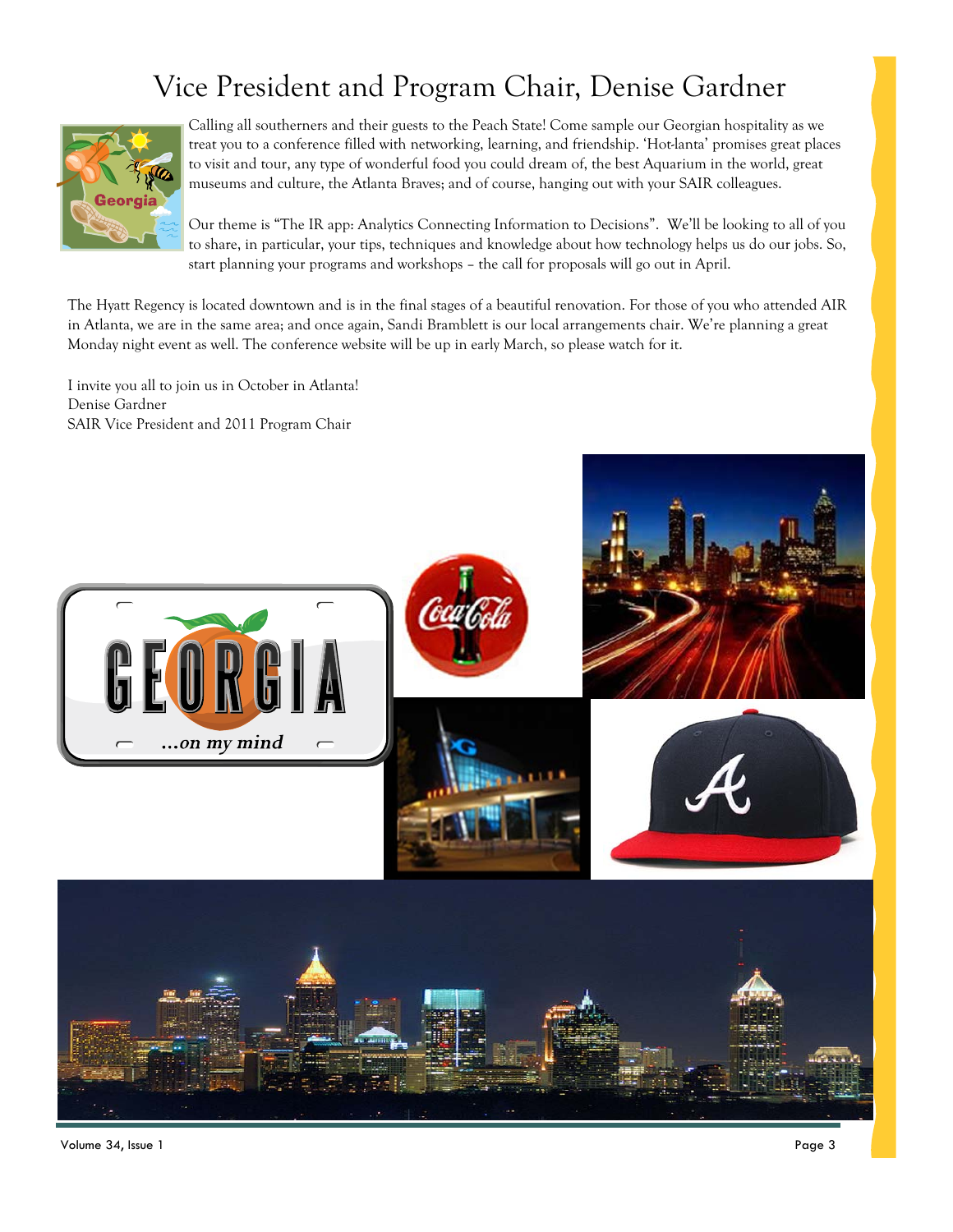# Vice President and Program Chair, Denise Gardner



Calling all southerners and their guests to the Peach State! Come sample our Georgian hospitality as we treat you to a conference filled with networking, learning, and friendship. 'Hot-lanta' promises great places to visit and tour, any type of wonderful food you could dream of, the best Aquarium in the world, great museums and culture, the Atlanta Braves; and of course, hanging out with your SAIR colleagues.

Our theme is "The IR app: Analytics Connecting Information to Decisions". We'll be looking to all of you to share, in particular, your tips, techniques and knowledge about how technology helps us do our jobs. So, start planning your programs and workshops – the call for proposals will go out in April.

The Hyatt Regency is located downtown and is in the final stages of a beautiful renovation. For those of you who attended AIR in Atlanta, we are in the same area; and once again, Sandi Bramblett is our local arrangements chair. We're planning a great Monday night event as well. The conference website will be up in early March, so please watch for it.

I invite you all to join us in October in Atlanta! Denise Gardner SAIR Vice President and 2011 Program Chair



Volume 34, Issue 1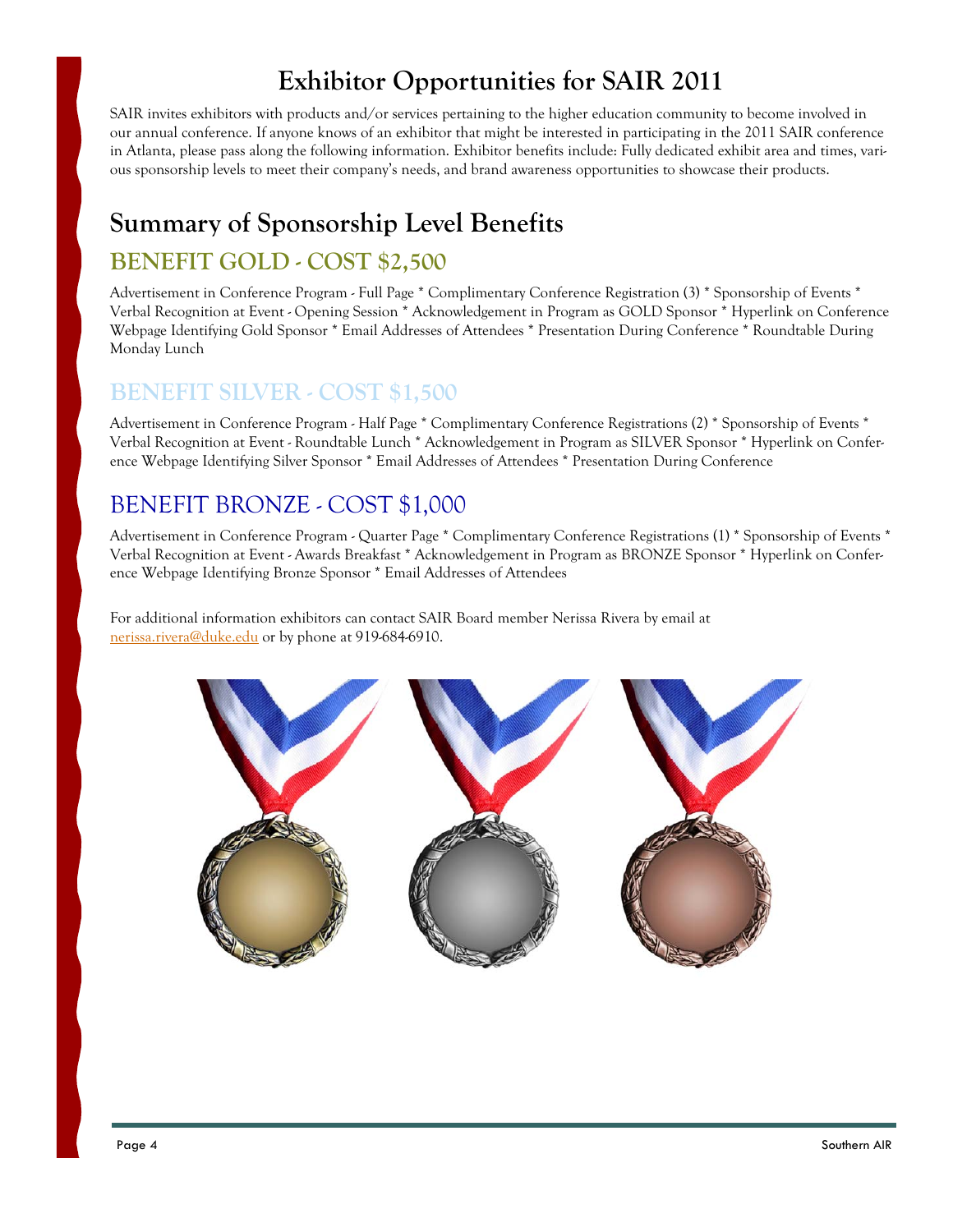#### **Exhibitor Opportunities for SAIR 2011**

SAIR invites exhibitors with products and/or services pertaining to the higher education community to become involved in our annual conference. If anyone knows of an exhibitor that might be interested in participating in the 2011 SAIR conference in Atlanta, please pass along the following information. Exhibitor benefits include: Fully dedicated exhibit area and times, various sponsorship levels to meet their company's needs, and brand awareness opportunities to showcase their products.

## **Summary of Sponsorship Level Benefits**

#### **BENEFIT GOLD - COST \$2,500**

Advertisement in Conference Program - Full Page \* Complimentary Conference Registration (3) \* Sponsorship of Events \* Verbal Recognition at Event - Opening Session \* Acknowledgement in Program as GOLD Sponsor \* Hyperlink on Conference Webpage Identifying Gold Sponsor \* Email Addresses of Attendees \* Presentation During Conference \* Roundtable During Monday Lunch

#### **BENEFIT SILVER - COST \$1,500**

Advertisement in Conference Program - Half Page \* Complimentary Conference Registrations (2) \* Sponsorship of Events \* Verbal Recognition at Event - Roundtable Lunch \* Acknowledgement in Program as SILVER Sponsor \* Hyperlink on Conference Webpage Identifying Silver Sponsor \* Email Addresses of Attendees \* Presentation During Conference

#### BENEFIT BRONZE - COST \$1,000

Advertisement in Conference Program - Quarter Page \* Complimentary Conference Registrations (1) \* Sponsorship of Events \* Verbal Recognition at Event - Awards Breakfast \* Acknowledgement in Program as BRONZE Sponsor \* Hyperlink on Conference Webpage Identifying Bronze Sponsor \* Email Addresses of Attendees

For additional information exhibitors can contact SAIR Board member Nerissa Rivera by email at nerissa.rivera@duke.edu or by phone at 919-684-6910.

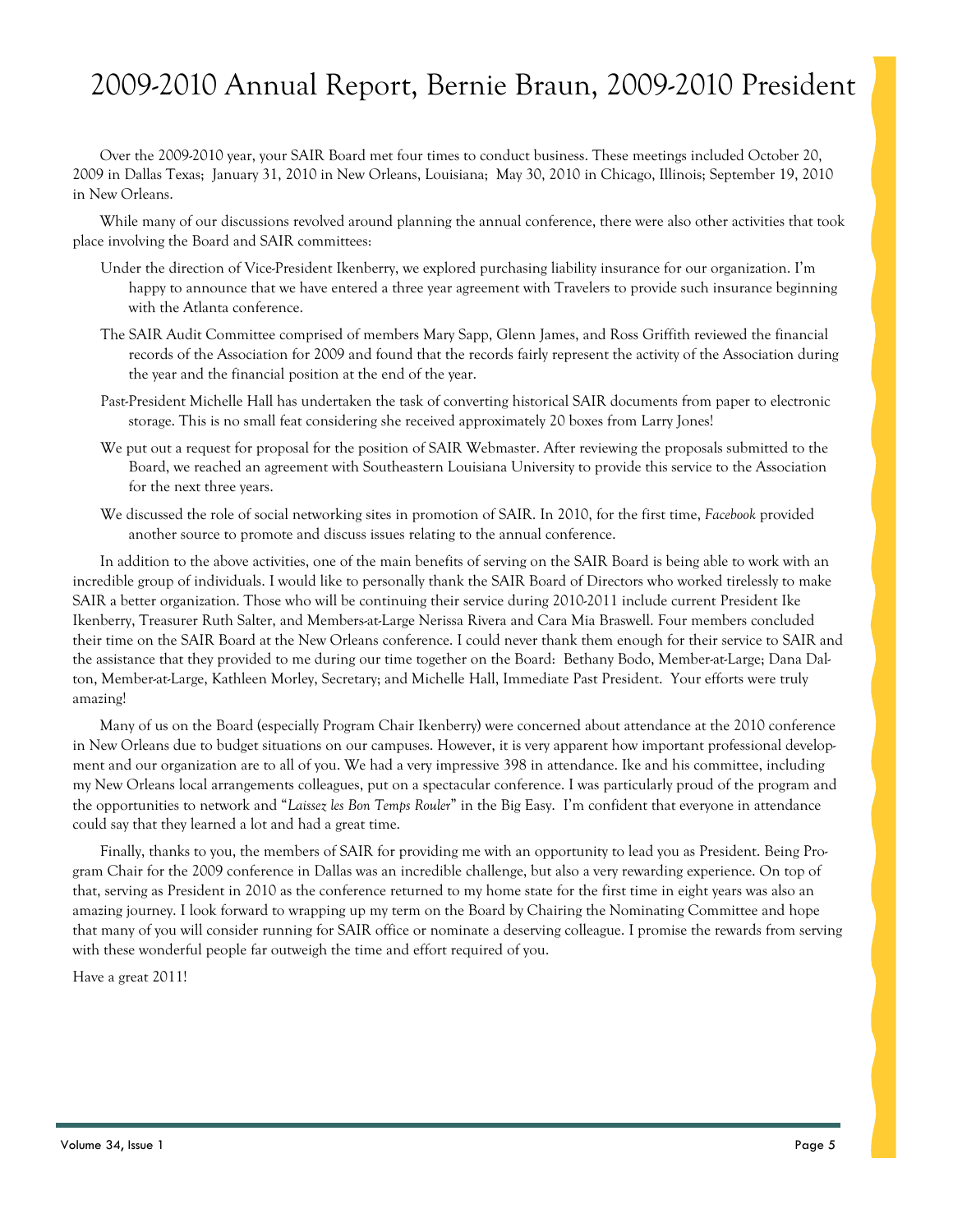# 2009-2010 Annual Report, Bernie Braun, 2009-2010 President

 Over the 2009-2010 year, your SAIR Board met four times to conduct business. These meetings included October 20, 2009 in Dallas Texas; January 31, 2010 in New Orleans, Louisiana; May 30, 2010 in Chicago, Illinois; September 19, 2010 in New Orleans.

 While many of our discussions revolved around planning the annual conference, there were also other activities that took place involving the Board and SAIR committees:

- Under the direction of Vice-President Ikenberry, we explored purchasing liability insurance for our organization. I'm happy to announce that we have entered a three year agreement with Travelers to provide such insurance beginning with the Atlanta conference.
- The SAIR Audit Committee comprised of members Mary Sapp, Glenn James, and Ross Griffith reviewed the financial records of the Association for 2009 and found that the records fairly represent the activity of the Association during the year and the financial position at the end of the year.
- Past-President Michelle Hall has undertaken the task of converting historical SAIR documents from paper to electronic storage. This is no small feat considering she received approximately 20 boxes from Larry Jones!
- We put out a request for proposal for the position of SAIR Webmaster. After reviewing the proposals submitted to the Board, we reached an agreement with Southeastern Louisiana University to provide this service to the Association for the next three years.
- We discussed the role of social networking sites in promotion of SAIR. In 2010, for the first time, *Facebook* provided another source to promote and discuss issues relating to the annual conference.

 In addition to the above activities, one of the main benefits of serving on the SAIR Board is being able to work with an incredible group of individuals. I would like to personally thank the SAIR Board of Directors who worked tirelessly to make SAIR a better organization. Those who will be continuing their service during 2010-2011 include current President Ike Ikenberry, Treasurer Ruth Salter, and Members-at-Large Nerissa Rivera and Cara Mia Braswell. Four members concluded their time on the SAIR Board at the New Orleans conference. I could never thank them enough for their service to SAIR and the assistance that they provided to me during our time together on the Board: Bethany Bodo, Member-at-Large; Dana Dalton, Member-at-Large, Kathleen Morley, Secretary; and Michelle Hall, Immediate Past President. Your efforts were truly amazing!

 Many of us on the Board (especially Program Chair Ikenberry) were concerned about attendance at the 2010 conference in New Orleans due to budget situations on our campuses. However, it is very apparent how important professional development and our organization are to all of you. We had a very impressive 398 in attendance. Ike and his committee, including my New Orleans local arrangements colleagues, put on a spectacular conference. I was particularly proud of the program and the opportunities to network and "*Laissez les Bon Temps Rouler*" in the Big Easy. I'm confident that everyone in attendance could say that they learned a lot and had a great time.

 Finally, thanks to you, the members of SAIR for providing me with an opportunity to lead you as President. Being Program Chair for the 2009 conference in Dallas was an incredible challenge, but also a very rewarding experience. On top of that, serving as President in 2010 as the conference returned to my home state for the first time in eight years was also an amazing journey. I look forward to wrapping up my term on the Board by Chairing the Nominating Committee and hope that many of you will consider running for SAIR office or nominate a deserving colleague. I promise the rewards from serving with these wonderful people far outweigh the time and effort required of you.

Have a great 2011!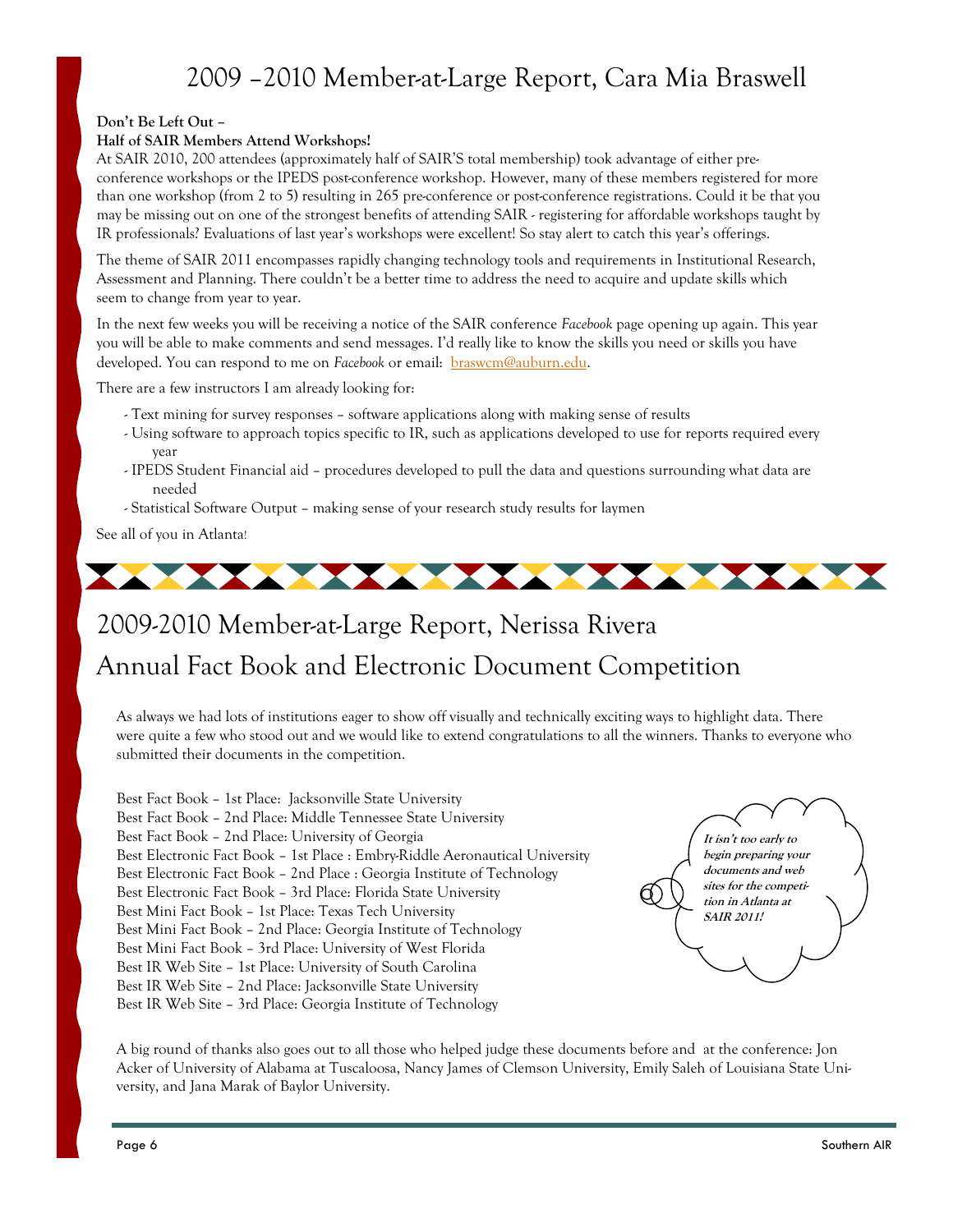### 2009 –2010 Member-at-Large Report, Cara Mia Braswell

#### **Don't Be Left Out –**

#### **Half of SAIR Members Attend Workshops!**

At SAIR 2010, 200 attendees (approximately half of SAIR'S total membership) took advantage of either preconference workshops or the IPEDS post-conference workshop. However, many of these members registered for more than one workshop (from 2 to 5) resulting in 265 pre-conference or post-conference registrations. Could it be that you may be missing out on one of the strongest benefits of attending SAIR - registering for affordable workshops taught by IR professionals? Evaluations of last year's workshops were excellent! So stay alert to catch this year's offerings.

The theme of SAIR 2011 encompasses rapidly changing technology tools and requirements in Institutional Research, Assessment and Planning. There couldn't be a better time to address the need to acquire and update skills which seem to change from year to year.

In the next few weeks you will be receiving a notice of the SAIR conference *Facebook* page opening up again. This year you will be able to make comments and send messages. I'd really like to know the skills you need or skills you have developed. You can respond to me on *Facebook* or email: braswcm@auburn.edu.

There are a few instructors I am already looking for:

- Text mining for survey responses software applications along with making sense of results
- Using software to approach topics specific to IR, such as applications developed to use for reports required every year
- IPEDS Student Financial aid procedures developed to pull the data and questions surrounding what data are needed
- Statistical Software Output making sense of your research study results for laymen

See all of you in Atlanta!



# 2009-2010 Member-at-Large Report, Nerissa Rivera Annual Fact Book and Electronic Document Competition

As always we had lots of institutions eager to show off visually and technically exciting ways to highlight data. There were quite a few who stood out and we would like to extend congratulations to all the winners. Thanks to everyone who submitted their documents in the competition.

Best Fact Book – 1st Place: Jacksonville State University Best Fact Book – 2nd Place: Middle Tennessee State University Best Fact Book – 2nd Place: University of Georgia Best Electronic Fact Book – 1st Place : Embry-Riddle Aeronautical University Best Electronic Fact Book – 2nd Place : Georgia Institute of Technology Best Electronic Fact Book – 3rd Place: Florida State University Best Mini Fact Book – 1st Place: Texas Tech University Best Mini Fact Book – 2nd Place: Georgia Institute of Technology Best Mini Fact Book – 3rd Place: University of West Florida Best IR Web Site – 1st Place: University of South Carolina Best IR Web Site – 2nd Place: Jacksonville State University Best IR Web Site – 3rd Place: Georgia Institute of Technology



A big round of thanks also goes out to all those who helped judge these documents before and at the conference: Jon Acker of University of Alabama at Tuscaloosa, Nancy James of Clemson University, Emily Saleh of Louisiana State University, and Jana Marak of Baylor University.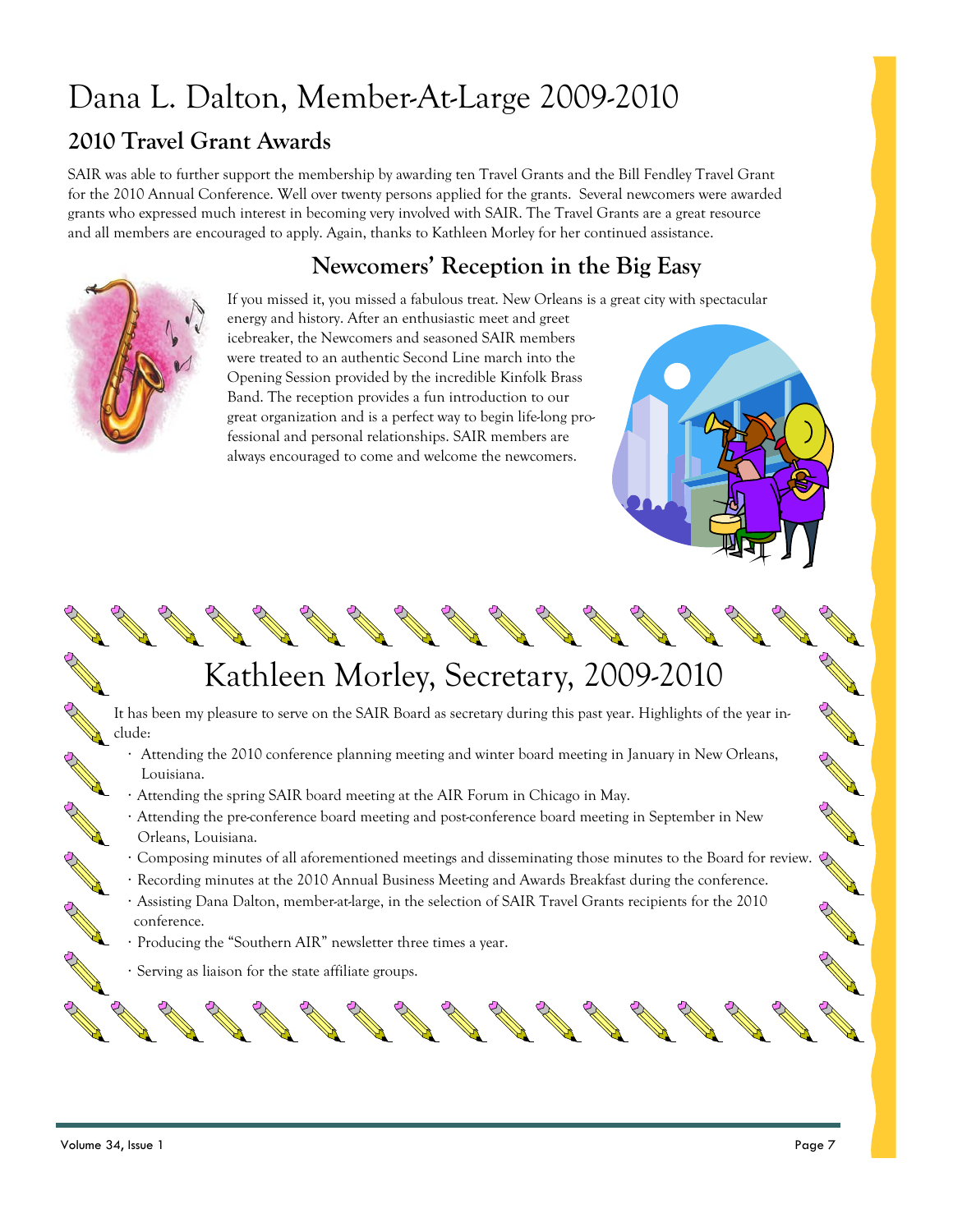# Dana L. Dalton, Member-At-Large 2009-2010

#### **2010 Travel Grant Awards**

SAIR was able to further support the membership by awarding ten Travel Grants and the Bill Fendley Travel Grant for the 2010 Annual Conference. Well over twenty persons applied for the grants. Several newcomers were awarded grants who expressed much interest in becoming very involved with SAIR. The Travel Grants are a great resource and all members are encouraged to apply. Again, thanks to Kathleen Morley for her continued assistance.

#### **Newcomers' Reception in the Big Easy**



If you missed it, you missed a fabulous treat. New Orleans is a great city with spectacular energy and history. After an enthusiastic meet and greet icebreaker, the Newcomers and seasoned SAIR members were treated to an authentic Second Line march into the Opening Session provided by the incredible Kinfolk Brass Band. The reception provides a fun introduction to our great organization and is a perfect way to begin life-long professional and personal relationships. SAIR members are always encouraged to come and welcome the newcomers.

# Kathleen Morley, Secretary, 2009-2010

It has been my pleasure to serve on the SAIR Board as secretary during this past year. Highlights of the year include:

- Attending the 2010 conference planning meeting and winter board meeting in January in New Orleans, Louisiana.
- Attending the spring SAIR board meeting at the AIR Forum in Chicago in May.
- · Attending the pre-conference board meeting and post-conference board meeting in September in New Orleans, Louisiana.
- · Composing minutes of all aforementioned meetings and disseminating those minutes to the Board for review.
- · Recording minutes at the 2010 Annual Business Meeting and Awards Breakfast during the conference.
- · Assisting Dana Dalton, member-at-large, in the selection of SAIR Travel Grants recipients for the 2010 conference.
- · Producing the "Southern AIR" newsletter three times a year.
- · Serving as liaison for the state affiliate groups.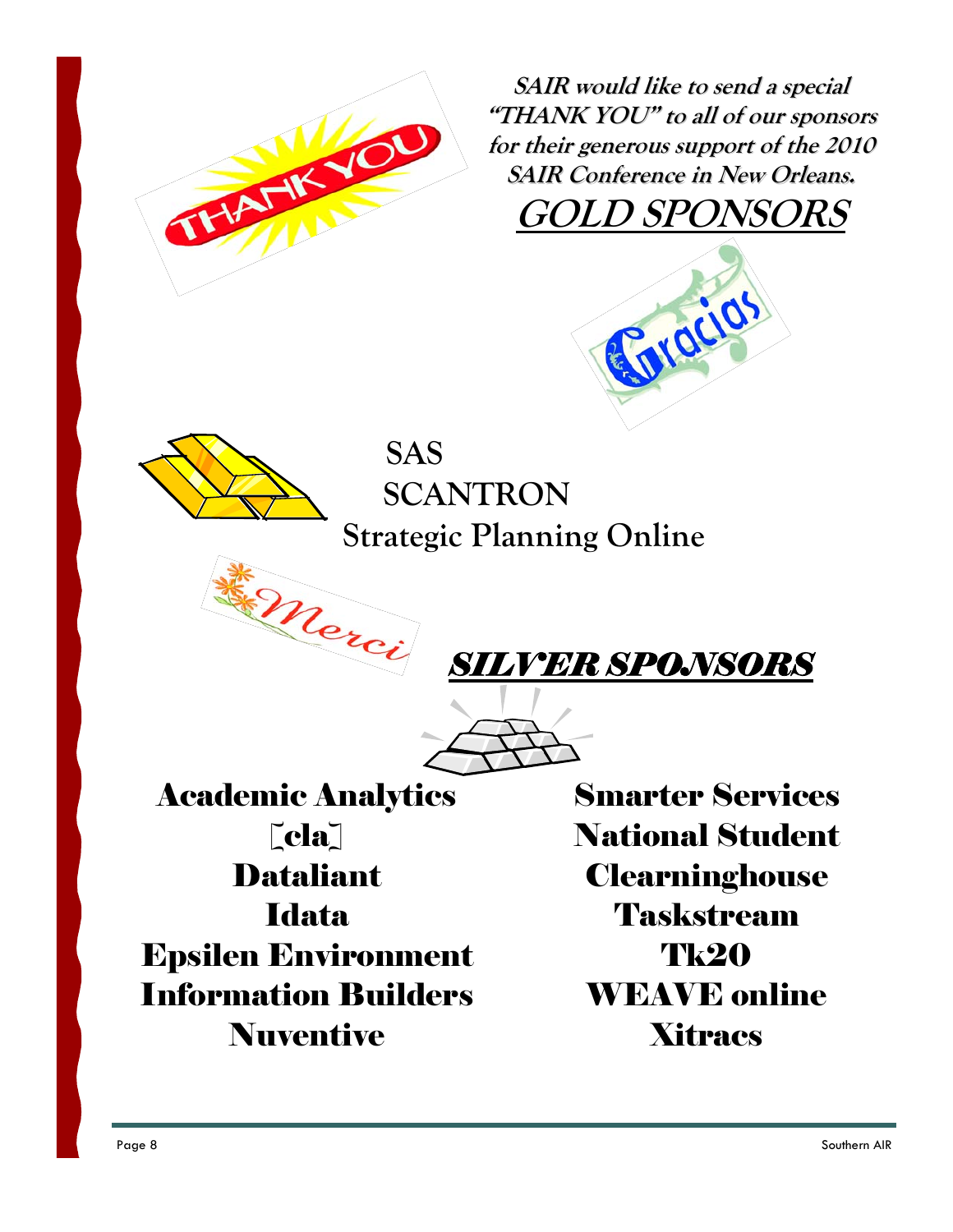

**SAIR would like to send <sup>a</sup> special "THANK YOU" to all of our sponsors for their generous support of the 2010 SAIR Conference in New Orleans. GOLD SPONSORS**





 **SCANTRON Strategic Planning Online** 



$$
\overbrace{\longrightarrow}
$$

Academic Analytics  $|cla|$ **Dataliant Idata** Epsilen Environment Information Builders Nuventive

Smarter Services National Student **Clearninghouse** Taskstream **Tk20** WEAVE online **Xitracs**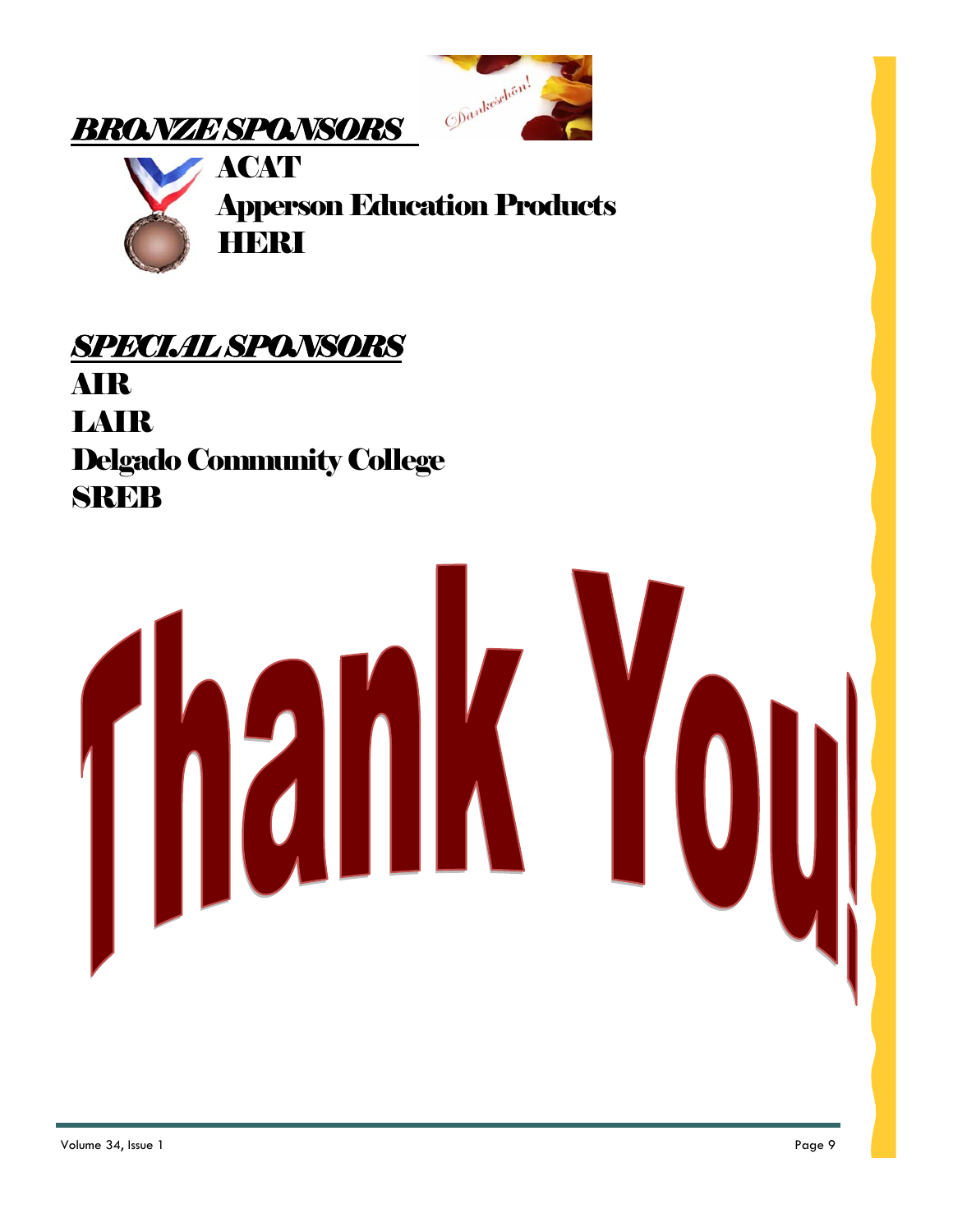





# *SPECIAL SPONSORS*  AIR LAIR Delgado Community College **SREB**

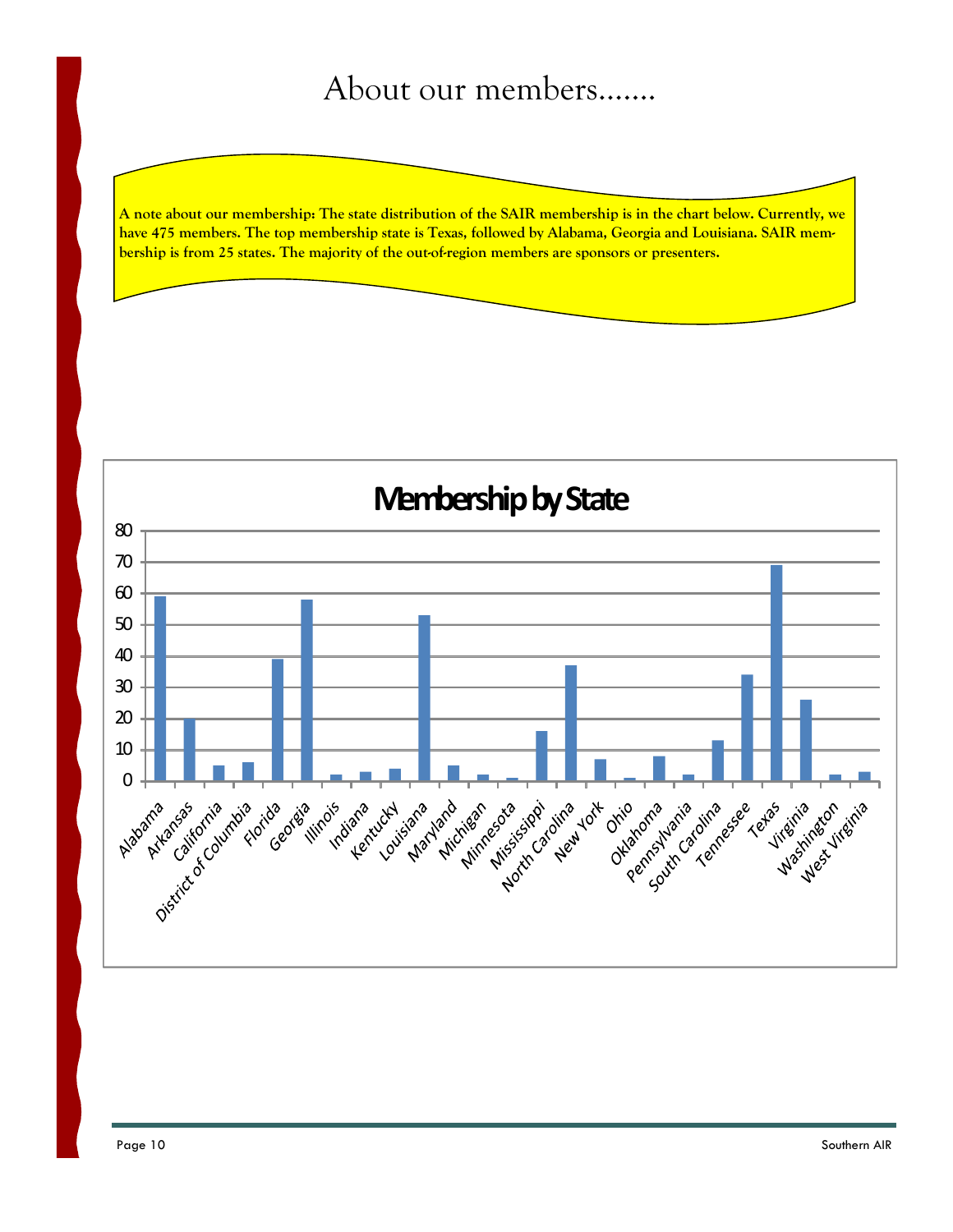# About our members…….

**A note about our membership: The state distribution of the SAIR membership is in the chart below. Currently, we have 475 members. The top membership state is Texas, followed by Alabama, Georgia and Louisiana. SAIR membership is from 25 states. The majority of the out-of-region members are sponsors or presenters.** 

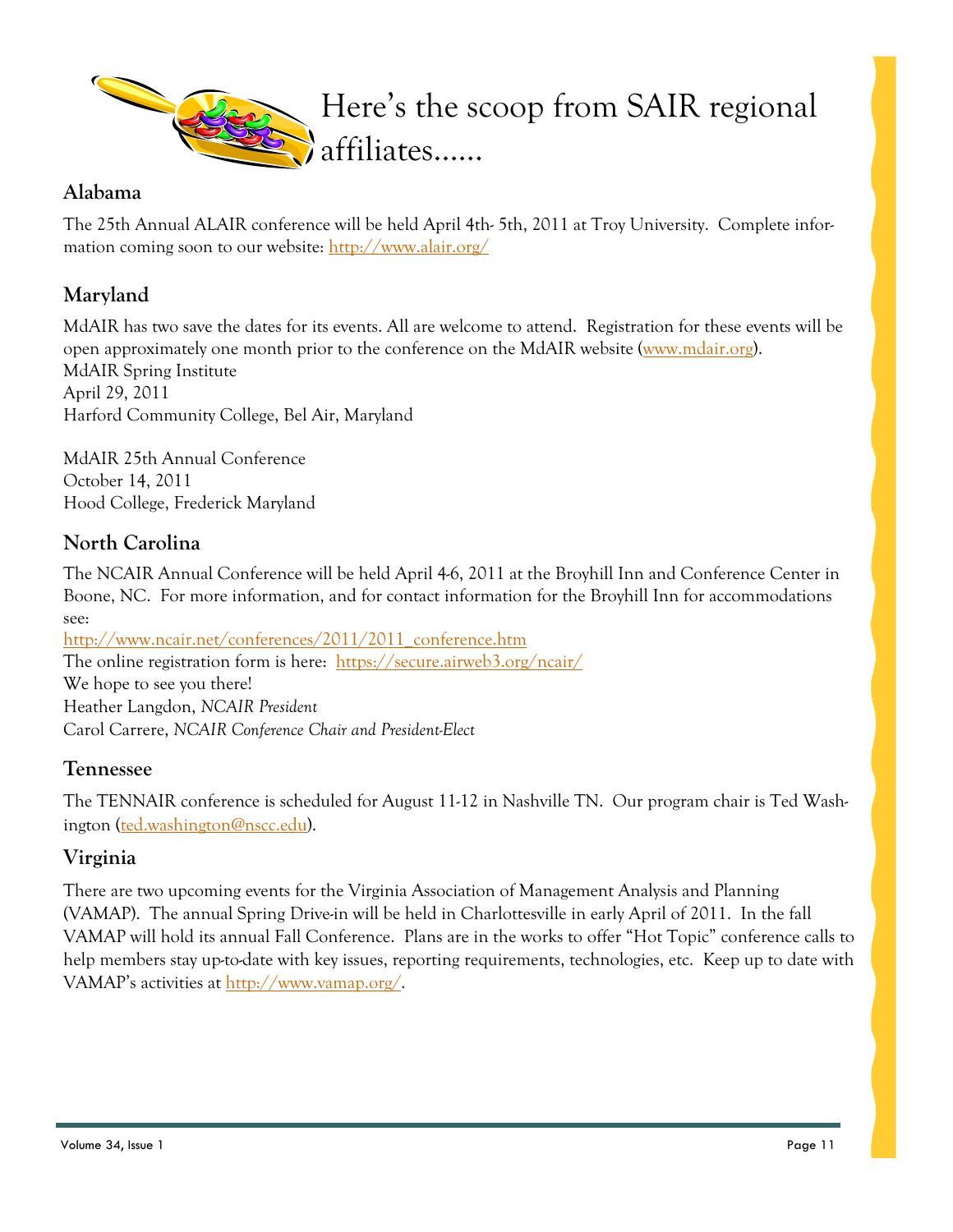

#### **Alabama**

The 25th Annual ALAIR conference will be held April 4th- 5th, 2011 at Troy University. Complete information coming soon to our website: http://www.alair.org/

#### **Maryland**

MdAIR has two save the dates for its events. All are welcome to attend. Registration for these events will be open approximately one month prior to the conference on the MdAIR website (www.mdair.org). MdAIR Spring Institute April 29, 2011 Harford Community College, Bel Air, Maryland

MdAIR 25th Annual Conference October 14, 2011 Hood College, Frederick Maryland

#### **North Carolina**

The NCAIR Annual Conference will be held April 4-6, 2011 at the Broyhill Inn and Conference Center in Boone, NC. For more information, and for contact information for the Broyhill Inn for accommodations see:

http://www.ncair.net/conferences/2011/2011\_conference.htm The online registration form is here: https://secure.airweb3.org/ncair/ We hope to see you there! Heather Langdon, *NCAIR President* Carol Carrere, *NCAIR Conference Chair and President-Elect*

#### **Tennessee**

The TENNAIR conference is scheduled for August 11-12 in Nashville TN. Our program chair is Ted Washington (ted.washington@nscc.edu).

#### **Virginia**

There are two upcoming events for the Virginia Association of Management Analysis and Planning (VAMAP). The annual Spring Drive-in will be held in Charlottesville in early April of 2011. In the fall VAMAP will hold its annual Fall Conference. Plans are in the works to offer "Hot Topic" conference calls to help members stay up-to-date with key issues, reporting requirements, technologies, etc. Keep up to date with VAMAP's activities at http://www.vamap.org/.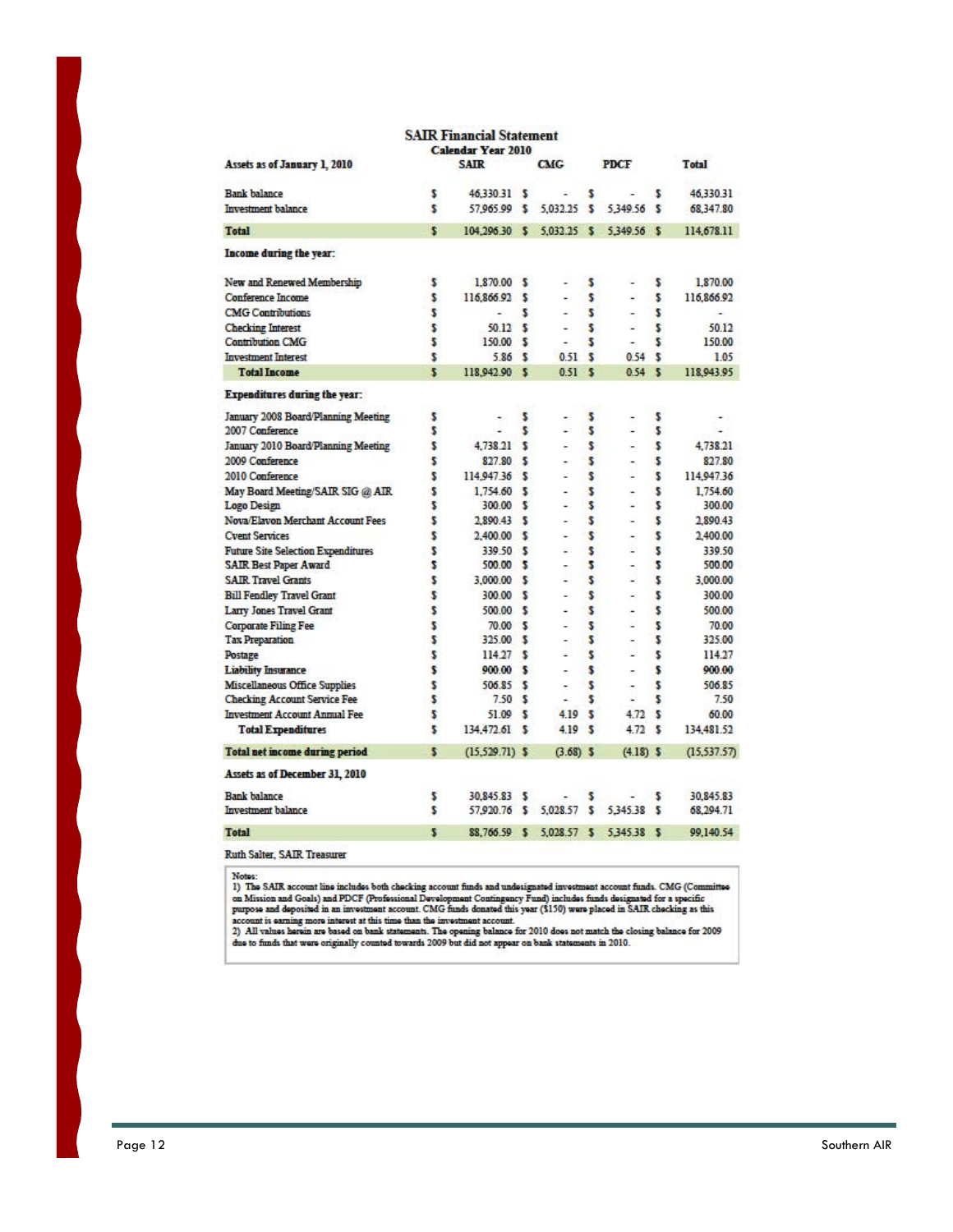| <b>SAIR</b><br><b>CMG</b><br><b>PDCF</b><br>Assets as of January 1, 2010<br>Total<br>46,330.31<br><b>Bank</b> balance<br>46.330.31<br>s<br>\$<br>ંડ<br>\$<br>÷<br>Investment balance<br>\$<br>57,965.99 \$<br>5,032.25<br>s<br>5,349.56<br>s<br>68,347.80<br>s<br><b>Total</b><br>104.296.30<br>$\sim$<br>5.032.25<br>$\mathbf{s}$<br>5.349.56<br><b>S</b><br>Income during the year:<br>New and Renewed Membership<br>\$<br>1,870.00 \$<br>s<br>\$<br>s<br>s<br>S<br>Conference Income<br>116,866.92 \$<br>i.<br>L.<br><b>CMG Contributions</b><br>2<br>\$<br>5<br>\$<br>×.<br>$\overline{a}$<br>٠<br>۰<br>\$<br>50.12<br>s<br>\$<br><b>Checking Interest</b><br>s<br>٠<br>$\overline{\phantom{a}}$<br><b>Contribution CMG</b><br>s<br>150.00 \$<br>s<br>s<br>۰<br><b>Investment Interest</b><br>\$<br>s<br>5.86S<br>0.51<br>054<br>\$<br>s<br><b>Total Income</b><br>118,942.90 \$<br>s<br>s<br>0.51<br>0.54<br><b>Expenditures during the year:</b><br>January 2008 Board/Planning Meeting<br>\$<br>\$<br>s<br>\$<br>2007 Conference<br>2<br>\$<br>\$<br>\$<br>L<br>L.<br>ä,<br>January 2010 Board/Planning Meeting<br>\$<br>s<br>\$<br>4.738.21<br>s<br>٠<br>÷<br>2009 Conference<br>\$<br>\$<br>827.80<br>$\sim$<br>s<br>2010 Conference<br>\$<br>114,947.36 \$<br>s<br>s<br>٠<br>u<br>May Board Meeting/SAIR SIG @ AIR<br>\$<br>1.754.60 \$<br>\$<br>\$<br>٠<br>۰<br>\$<br>\$<br>Logo Design<br>\$<br>300.00 \$<br>٠<br>$\overline{\phantom{a}}$<br>\$<br>Nova/Elavon Merchant Account Fees<br>s<br>\$<br>2.890.43 \$<br>÷<br>÷<br>\$<br>\$<br><b>Cyent Services</b><br>2,400.00 \$<br>\$<br>$\overline{a}$<br>$\overline{a}$<br><b>Future Site Selection Expenditures</b><br>s<br>s<br>s<br>339.50 \$<br>۰<br>u<br><b>SAIR Best Paper Award</b><br>2<br>5<br>2<br>500.00 \$<br>٠<br>÷<br><b>SAIR Travel Grants</b><br>s<br>s<br>s<br>3,000.00 \$<br>-<br>\$<br><b>Bill Fendley Travel Grant</b><br>\$<br>s<br>300.00<br>ూ<br>٠<br>$\overline{a}$<br>Larry Jones Travel Grant<br>\$<br>s<br>\$<br>500.00 \$<br>۰<br>۰<br><b>Corporate Filing Fee</b><br>\$<br>s<br>s<br>70.00 \$<br>۰<br>u<br>\$<br>s<br>\$<br><b>Tax Preparation</b><br>325.00 \$<br>٠<br>-<br>\$<br>s<br>\$<br>Postage<br>114.27S<br>u.<br>٠<br>\$<br>\$<br><b>Liability Insurance</b><br>900.00 \$<br>s<br>÷<br>÷<br>\$<br>Miscellaneous Office Supplies<br>506.85 \$<br>s<br>s<br>۰.<br>۰<br>s<br>s<br><b>Checking Account Service Fee</b><br>s<br>7.50 S<br>۷<br>۰<br><b>Investment Account Annual Fee</b><br>\$<br>51.09<br>-5<br>4.19<br>s<br>4.72<br>s<br>\$<br><b>Total Expenditures</b><br>s<br>\$<br>134,472.61<br>s<br>4.19<br>4.72<br>5<br>$(15,529.71)$ \$<br><b>Total net income during period</b><br>$(3.68)$ \$<br>$(4.18)$ \$ |                                |                           | <b>SAIR Financial Statement</b> |  |  |  |  |  |             |
|-----------------------------------------------------------------------------------------------------------------------------------------------------------------------------------------------------------------------------------------------------------------------------------------------------------------------------------------------------------------------------------------------------------------------------------------------------------------------------------------------------------------------------------------------------------------------------------------------------------------------------------------------------------------------------------------------------------------------------------------------------------------------------------------------------------------------------------------------------------------------------------------------------------------------------------------------------------------------------------------------------------------------------------------------------------------------------------------------------------------------------------------------------------------------------------------------------------------------------------------------------------------------------------------------------------------------------------------------------------------------------------------------------------------------------------------------------------------------------------------------------------------------------------------------------------------------------------------------------------------------------------------------------------------------------------------------------------------------------------------------------------------------------------------------------------------------------------------------------------------------------------------------------------------------------------------------------------------------------------------------------------------------------------------------------------------------------------------------------------------------------------------------------------------------------------------------------------------------------------------------------------------------------------------------------------------------------------------------------------------------------------------------------------------------------------------------------------------------------------------------------------------------------------------------------------------------------------------------------------------------------------------------------------------------------------------------------------------------|--------------------------------|---------------------------|---------------------------------|--|--|--|--|--|-------------|
|                                                                                                                                                                                                                                                                                                                                                                                                                                                                                                                                                                                                                                                                                                                                                                                                                                                                                                                                                                                                                                                                                                                                                                                                                                                                                                                                                                                                                                                                                                                                                                                                                                                                                                                                                                                                                                                                                                                                                                                                                                                                                                                                                                                                                                                                                                                                                                                                                                                                                                                                                                                                                                                                                                                       |                                | <b>Calendar Year 2010</b> |                                 |  |  |  |  |  |             |
|                                                                                                                                                                                                                                                                                                                                                                                                                                                                                                                                                                                                                                                                                                                                                                                                                                                                                                                                                                                                                                                                                                                                                                                                                                                                                                                                                                                                                                                                                                                                                                                                                                                                                                                                                                                                                                                                                                                                                                                                                                                                                                                                                                                                                                                                                                                                                                                                                                                                                                                                                                                                                                                                                                                       |                                |                           |                                 |  |  |  |  |  |             |
|                                                                                                                                                                                                                                                                                                                                                                                                                                                                                                                                                                                                                                                                                                                                                                                                                                                                                                                                                                                                                                                                                                                                                                                                                                                                                                                                                                                                                                                                                                                                                                                                                                                                                                                                                                                                                                                                                                                                                                                                                                                                                                                                                                                                                                                                                                                                                                                                                                                                                                                                                                                                                                                                                                                       |                                |                           |                                 |  |  |  |  |  |             |
|                                                                                                                                                                                                                                                                                                                                                                                                                                                                                                                                                                                                                                                                                                                                                                                                                                                                                                                                                                                                                                                                                                                                                                                                                                                                                                                                                                                                                                                                                                                                                                                                                                                                                                                                                                                                                                                                                                                                                                                                                                                                                                                                                                                                                                                                                                                                                                                                                                                                                                                                                                                                                                                                                                                       |                                |                           |                                 |  |  |  |  |  |             |
|                                                                                                                                                                                                                                                                                                                                                                                                                                                                                                                                                                                                                                                                                                                                                                                                                                                                                                                                                                                                                                                                                                                                                                                                                                                                                                                                                                                                                                                                                                                                                                                                                                                                                                                                                                                                                                                                                                                                                                                                                                                                                                                                                                                                                                                                                                                                                                                                                                                                                                                                                                                                                                                                                                                       |                                |                           |                                 |  |  |  |  |  | 114,678.11  |
|                                                                                                                                                                                                                                                                                                                                                                                                                                                                                                                                                                                                                                                                                                                                                                                                                                                                                                                                                                                                                                                                                                                                                                                                                                                                                                                                                                                                                                                                                                                                                                                                                                                                                                                                                                                                                                                                                                                                                                                                                                                                                                                                                                                                                                                                                                                                                                                                                                                                                                                                                                                                                                                                                                                       |                                |                           |                                 |  |  |  |  |  |             |
|                                                                                                                                                                                                                                                                                                                                                                                                                                                                                                                                                                                                                                                                                                                                                                                                                                                                                                                                                                                                                                                                                                                                                                                                                                                                                                                                                                                                                                                                                                                                                                                                                                                                                                                                                                                                                                                                                                                                                                                                                                                                                                                                                                                                                                                                                                                                                                                                                                                                                                                                                                                                                                                                                                                       |                                |                           |                                 |  |  |  |  |  | 1,870.00    |
|                                                                                                                                                                                                                                                                                                                                                                                                                                                                                                                                                                                                                                                                                                                                                                                                                                                                                                                                                                                                                                                                                                                                                                                                                                                                                                                                                                                                                                                                                                                                                                                                                                                                                                                                                                                                                                                                                                                                                                                                                                                                                                                                                                                                                                                                                                                                                                                                                                                                                                                                                                                                                                                                                                                       |                                |                           |                                 |  |  |  |  |  | 116,866.92  |
|                                                                                                                                                                                                                                                                                                                                                                                                                                                                                                                                                                                                                                                                                                                                                                                                                                                                                                                                                                                                                                                                                                                                                                                                                                                                                                                                                                                                                                                                                                                                                                                                                                                                                                                                                                                                                                                                                                                                                                                                                                                                                                                                                                                                                                                                                                                                                                                                                                                                                                                                                                                                                                                                                                                       |                                |                           |                                 |  |  |  |  |  |             |
|                                                                                                                                                                                                                                                                                                                                                                                                                                                                                                                                                                                                                                                                                                                                                                                                                                                                                                                                                                                                                                                                                                                                                                                                                                                                                                                                                                                                                                                                                                                                                                                                                                                                                                                                                                                                                                                                                                                                                                                                                                                                                                                                                                                                                                                                                                                                                                                                                                                                                                                                                                                                                                                                                                                       |                                |                           |                                 |  |  |  |  |  | 50.12       |
|                                                                                                                                                                                                                                                                                                                                                                                                                                                                                                                                                                                                                                                                                                                                                                                                                                                                                                                                                                                                                                                                                                                                                                                                                                                                                                                                                                                                                                                                                                                                                                                                                                                                                                                                                                                                                                                                                                                                                                                                                                                                                                                                                                                                                                                                                                                                                                                                                                                                                                                                                                                                                                                                                                                       |                                |                           |                                 |  |  |  |  |  | 150.00      |
|                                                                                                                                                                                                                                                                                                                                                                                                                                                                                                                                                                                                                                                                                                                                                                                                                                                                                                                                                                                                                                                                                                                                                                                                                                                                                                                                                                                                                                                                                                                                                                                                                                                                                                                                                                                                                                                                                                                                                                                                                                                                                                                                                                                                                                                                                                                                                                                                                                                                                                                                                                                                                                                                                                                       |                                |                           |                                 |  |  |  |  |  | 1.05        |
|                                                                                                                                                                                                                                                                                                                                                                                                                                                                                                                                                                                                                                                                                                                                                                                                                                                                                                                                                                                                                                                                                                                                                                                                                                                                                                                                                                                                                                                                                                                                                                                                                                                                                                                                                                                                                                                                                                                                                                                                                                                                                                                                                                                                                                                                                                                                                                                                                                                                                                                                                                                                                                                                                                                       |                                |                           |                                 |  |  |  |  |  | 118,943.95  |
|                                                                                                                                                                                                                                                                                                                                                                                                                                                                                                                                                                                                                                                                                                                                                                                                                                                                                                                                                                                                                                                                                                                                                                                                                                                                                                                                                                                                                                                                                                                                                                                                                                                                                                                                                                                                                                                                                                                                                                                                                                                                                                                                                                                                                                                                                                                                                                                                                                                                                                                                                                                                                                                                                                                       |                                |                           |                                 |  |  |  |  |  |             |
|                                                                                                                                                                                                                                                                                                                                                                                                                                                                                                                                                                                                                                                                                                                                                                                                                                                                                                                                                                                                                                                                                                                                                                                                                                                                                                                                                                                                                                                                                                                                                                                                                                                                                                                                                                                                                                                                                                                                                                                                                                                                                                                                                                                                                                                                                                                                                                                                                                                                                                                                                                                                                                                                                                                       |                                |                           |                                 |  |  |  |  |  |             |
|                                                                                                                                                                                                                                                                                                                                                                                                                                                                                                                                                                                                                                                                                                                                                                                                                                                                                                                                                                                                                                                                                                                                                                                                                                                                                                                                                                                                                                                                                                                                                                                                                                                                                                                                                                                                                                                                                                                                                                                                                                                                                                                                                                                                                                                                                                                                                                                                                                                                                                                                                                                                                                                                                                                       |                                |                           |                                 |  |  |  |  |  |             |
|                                                                                                                                                                                                                                                                                                                                                                                                                                                                                                                                                                                                                                                                                                                                                                                                                                                                                                                                                                                                                                                                                                                                                                                                                                                                                                                                                                                                                                                                                                                                                                                                                                                                                                                                                                                                                                                                                                                                                                                                                                                                                                                                                                                                                                                                                                                                                                                                                                                                                                                                                                                                                                                                                                                       |                                |                           |                                 |  |  |  |  |  | 4,738.21    |
|                                                                                                                                                                                                                                                                                                                                                                                                                                                                                                                                                                                                                                                                                                                                                                                                                                                                                                                                                                                                                                                                                                                                                                                                                                                                                                                                                                                                                                                                                                                                                                                                                                                                                                                                                                                                                                                                                                                                                                                                                                                                                                                                                                                                                                                                                                                                                                                                                                                                                                                                                                                                                                                                                                                       |                                |                           |                                 |  |  |  |  |  | 827.80      |
|                                                                                                                                                                                                                                                                                                                                                                                                                                                                                                                                                                                                                                                                                                                                                                                                                                                                                                                                                                                                                                                                                                                                                                                                                                                                                                                                                                                                                                                                                                                                                                                                                                                                                                                                                                                                                                                                                                                                                                                                                                                                                                                                                                                                                                                                                                                                                                                                                                                                                                                                                                                                                                                                                                                       |                                |                           |                                 |  |  |  |  |  | 114,947.36  |
|                                                                                                                                                                                                                                                                                                                                                                                                                                                                                                                                                                                                                                                                                                                                                                                                                                                                                                                                                                                                                                                                                                                                                                                                                                                                                                                                                                                                                                                                                                                                                                                                                                                                                                                                                                                                                                                                                                                                                                                                                                                                                                                                                                                                                                                                                                                                                                                                                                                                                                                                                                                                                                                                                                                       |                                |                           |                                 |  |  |  |  |  | 1.754.60    |
|                                                                                                                                                                                                                                                                                                                                                                                                                                                                                                                                                                                                                                                                                                                                                                                                                                                                                                                                                                                                                                                                                                                                                                                                                                                                                                                                                                                                                                                                                                                                                                                                                                                                                                                                                                                                                                                                                                                                                                                                                                                                                                                                                                                                                                                                                                                                                                                                                                                                                                                                                                                                                                                                                                                       |                                |                           |                                 |  |  |  |  |  | 300.00      |
|                                                                                                                                                                                                                                                                                                                                                                                                                                                                                                                                                                                                                                                                                                                                                                                                                                                                                                                                                                                                                                                                                                                                                                                                                                                                                                                                                                                                                                                                                                                                                                                                                                                                                                                                                                                                                                                                                                                                                                                                                                                                                                                                                                                                                                                                                                                                                                                                                                                                                                                                                                                                                                                                                                                       |                                |                           |                                 |  |  |  |  |  | 2,890.43    |
|                                                                                                                                                                                                                                                                                                                                                                                                                                                                                                                                                                                                                                                                                                                                                                                                                                                                                                                                                                                                                                                                                                                                                                                                                                                                                                                                                                                                                                                                                                                                                                                                                                                                                                                                                                                                                                                                                                                                                                                                                                                                                                                                                                                                                                                                                                                                                                                                                                                                                                                                                                                                                                                                                                                       |                                |                           |                                 |  |  |  |  |  | 2,400.00    |
|                                                                                                                                                                                                                                                                                                                                                                                                                                                                                                                                                                                                                                                                                                                                                                                                                                                                                                                                                                                                                                                                                                                                                                                                                                                                                                                                                                                                                                                                                                                                                                                                                                                                                                                                                                                                                                                                                                                                                                                                                                                                                                                                                                                                                                                                                                                                                                                                                                                                                                                                                                                                                                                                                                                       |                                |                           |                                 |  |  |  |  |  | 339.50      |
|                                                                                                                                                                                                                                                                                                                                                                                                                                                                                                                                                                                                                                                                                                                                                                                                                                                                                                                                                                                                                                                                                                                                                                                                                                                                                                                                                                                                                                                                                                                                                                                                                                                                                                                                                                                                                                                                                                                                                                                                                                                                                                                                                                                                                                                                                                                                                                                                                                                                                                                                                                                                                                                                                                                       |                                |                           |                                 |  |  |  |  |  | 500.00      |
|                                                                                                                                                                                                                                                                                                                                                                                                                                                                                                                                                                                                                                                                                                                                                                                                                                                                                                                                                                                                                                                                                                                                                                                                                                                                                                                                                                                                                                                                                                                                                                                                                                                                                                                                                                                                                                                                                                                                                                                                                                                                                                                                                                                                                                                                                                                                                                                                                                                                                                                                                                                                                                                                                                                       |                                |                           |                                 |  |  |  |  |  | 3,000.00    |
|                                                                                                                                                                                                                                                                                                                                                                                                                                                                                                                                                                                                                                                                                                                                                                                                                                                                                                                                                                                                                                                                                                                                                                                                                                                                                                                                                                                                                                                                                                                                                                                                                                                                                                                                                                                                                                                                                                                                                                                                                                                                                                                                                                                                                                                                                                                                                                                                                                                                                                                                                                                                                                                                                                                       |                                |                           |                                 |  |  |  |  |  | 300.00      |
|                                                                                                                                                                                                                                                                                                                                                                                                                                                                                                                                                                                                                                                                                                                                                                                                                                                                                                                                                                                                                                                                                                                                                                                                                                                                                                                                                                                                                                                                                                                                                                                                                                                                                                                                                                                                                                                                                                                                                                                                                                                                                                                                                                                                                                                                                                                                                                                                                                                                                                                                                                                                                                                                                                                       |                                |                           |                                 |  |  |  |  |  | 500.00      |
|                                                                                                                                                                                                                                                                                                                                                                                                                                                                                                                                                                                                                                                                                                                                                                                                                                                                                                                                                                                                                                                                                                                                                                                                                                                                                                                                                                                                                                                                                                                                                                                                                                                                                                                                                                                                                                                                                                                                                                                                                                                                                                                                                                                                                                                                                                                                                                                                                                                                                                                                                                                                                                                                                                                       |                                |                           |                                 |  |  |  |  |  | 70.00       |
|                                                                                                                                                                                                                                                                                                                                                                                                                                                                                                                                                                                                                                                                                                                                                                                                                                                                                                                                                                                                                                                                                                                                                                                                                                                                                                                                                                                                                                                                                                                                                                                                                                                                                                                                                                                                                                                                                                                                                                                                                                                                                                                                                                                                                                                                                                                                                                                                                                                                                                                                                                                                                                                                                                                       |                                |                           |                                 |  |  |  |  |  | 325.00      |
|                                                                                                                                                                                                                                                                                                                                                                                                                                                                                                                                                                                                                                                                                                                                                                                                                                                                                                                                                                                                                                                                                                                                                                                                                                                                                                                                                                                                                                                                                                                                                                                                                                                                                                                                                                                                                                                                                                                                                                                                                                                                                                                                                                                                                                                                                                                                                                                                                                                                                                                                                                                                                                                                                                                       |                                |                           |                                 |  |  |  |  |  | 114.27      |
|                                                                                                                                                                                                                                                                                                                                                                                                                                                                                                                                                                                                                                                                                                                                                                                                                                                                                                                                                                                                                                                                                                                                                                                                                                                                                                                                                                                                                                                                                                                                                                                                                                                                                                                                                                                                                                                                                                                                                                                                                                                                                                                                                                                                                                                                                                                                                                                                                                                                                                                                                                                                                                                                                                                       |                                |                           |                                 |  |  |  |  |  | 900.00      |
|                                                                                                                                                                                                                                                                                                                                                                                                                                                                                                                                                                                                                                                                                                                                                                                                                                                                                                                                                                                                                                                                                                                                                                                                                                                                                                                                                                                                                                                                                                                                                                                                                                                                                                                                                                                                                                                                                                                                                                                                                                                                                                                                                                                                                                                                                                                                                                                                                                                                                                                                                                                                                                                                                                                       |                                |                           |                                 |  |  |  |  |  | 506.85      |
|                                                                                                                                                                                                                                                                                                                                                                                                                                                                                                                                                                                                                                                                                                                                                                                                                                                                                                                                                                                                                                                                                                                                                                                                                                                                                                                                                                                                                                                                                                                                                                                                                                                                                                                                                                                                                                                                                                                                                                                                                                                                                                                                                                                                                                                                                                                                                                                                                                                                                                                                                                                                                                                                                                                       |                                |                           |                                 |  |  |  |  |  | 7.50        |
|                                                                                                                                                                                                                                                                                                                                                                                                                                                                                                                                                                                                                                                                                                                                                                                                                                                                                                                                                                                                                                                                                                                                                                                                                                                                                                                                                                                                                                                                                                                                                                                                                                                                                                                                                                                                                                                                                                                                                                                                                                                                                                                                                                                                                                                                                                                                                                                                                                                                                                                                                                                                                                                                                                                       |                                |                           |                                 |  |  |  |  |  | 60.00       |
|                                                                                                                                                                                                                                                                                                                                                                                                                                                                                                                                                                                                                                                                                                                                                                                                                                                                                                                                                                                                                                                                                                                                                                                                                                                                                                                                                                                                                                                                                                                                                                                                                                                                                                                                                                                                                                                                                                                                                                                                                                                                                                                                                                                                                                                                                                                                                                                                                                                                                                                                                                                                                                                                                                                       |                                |                           |                                 |  |  |  |  |  | 134,481.52  |
|                                                                                                                                                                                                                                                                                                                                                                                                                                                                                                                                                                                                                                                                                                                                                                                                                                                                                                                                                                                                                                                                                                                                                                                                                                                                                                                                                                                                                                                                                                                                                                                                                                                                                                                                                                                                                                                                                                                                                                                                                                                                                                                                                                                                                                                                                                                                                                                                                                                                                                                                                                                                                                                                                                                       |                                |                           |                                 |  |  |  |  |  | (15,537.57) |
|                                                                                                                                                                                                                                                                                                                                                                                                                                                                                                                                                                                                                                                                                                                                                                                                                                                                                                                                                                                                                                                                                                                                                                                                                                                                                                                                                                                                                                                                                                                                                                                                                                                                                                                                                                                                                                                                                                                                                                                                                                                                                                                                                                                                                                                                                                                                                                                                                                                                                                                                                                                                                                                                                                                       | Assets as of December 31, 2010 |                           |                                 |  |  |  |  |  |             |
| <b>Bank</b> balance<br>30, 845.83<br>\$<br>s<br>s<br>ઃ<br>$\overline{a}$                                                                                                                                                                                                                                                                                                                                                                                                                                                                                                                                                                                                                                                                                                                                                                                                                                                                                                                                                                                                                                                                                                                                                                                                                                                                                                                                                                                                                                                                                                                                                                                                                                                                                                                                                                                                                                                                                                                                                                                                                                                                                                                                                                                                                                                                                                                                                                                                                                                                                                                                                                                                                                              |                                |                           |                                 |  |  |  |  |  | 30.845.83   |
| \$<br>Investment balance<br>57,920.76 \$<br>5,028.57<br>s<br>5.345.38<br>s                                                                                                                                                                                                                                                                                                                                                                                                                                                                                                                                                                                                                                                                                                                                                                                                                                                                                                                                                                                                                                                                                                                                                                                                                                                                                                                                                                                                                                                                                                                                                                                                                                                                                                                                                                                                                                                                                                                                                                                                                                                                                                                                                                                                                                                                                                                                                                                                                                                                                                                                                                                                                                            |                                |                           |                                 |  |  |  |  |  | 68,294.71   |
| s<br>5,028.57<br>5,345.38<br><b>Total</b><br>88.766.59<br>- 5<br>-5<br>s                                                                                                                                                                                                                                                                                                                                                                                                                                                                                                                                                                                                                                                                                                                                                                                                                                                                                                                                                                                                                                                                                                                                                                                                                                                                                                                                                                                                                                                                                                                                                                                                                                                                                                                                                                                                                                                                                                                                                                                                                                                                                                                                                                                                                                                                                                                                                                                                                                                                                                                                                                                                                                              |                                |                           |                                 |  |  |  |  |  | 99.140.54   |

**Ruth Salter, SAIR Treasurer** 

Notes:<br>
1) The SAIR account line includes both checking account finds and undesignated investment account funds. CMG (Committee on Mission and Goals) and PDCF (Professional Development Contingency Fund) includes funds des